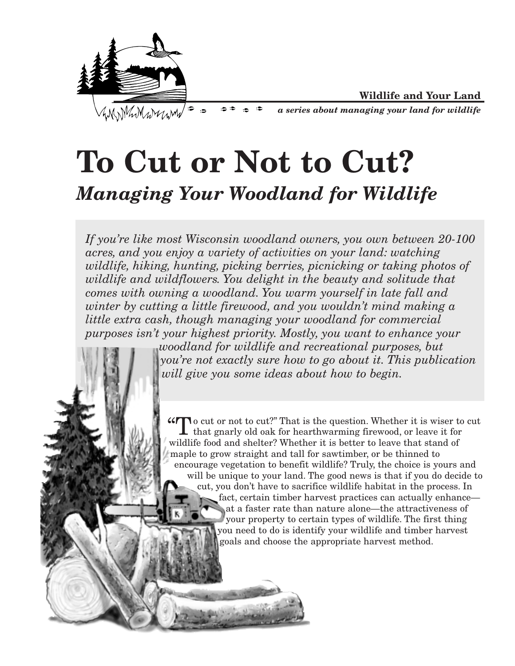

**Wildlife and Your Land**

*a series about managing your land for wildlife*

# **To Cut or Not to Cut?**  *Managing Your Woodland for Wildlife*

*If you're like most Wisconsin woodland owners, you own between 20-100 acres, and you enjoy a variety of activities on your land: watching wildlife, hiking, hunting, picking berries, picnicking or taking photos of wildlife and wildflowers. You delight in the beauty and solitude that comes with owning a woodland. You warm yourself in late fall and winter by cutting a little firewood, and you wouldn't mind making a little extra cash, though managing your woodland for commercial purposes isn't your highest priority. Mostly, you want to enhance your woodland for wildlife and recreational purposes, but you're not exactly sure how to go about it. This publication will give you some ideas about how to begin.*

> $\mathcal{L}$  o cut or not to cut?" That is the question. Whether it is wiser to cut that gnarly old oak for hearthwarming firewood, or leave it for wildlife food and shelter? Whether it is better to leave that stand of maple to grow straight and tall for sawtimber, or be thinned to encourage vegetation to benefit wildlife? Truly, the choice is yours and will be unique to your land. The good news is that if you do decide to cut, you don't have to sacrifice wildlife habitat in the process. In fact, certain timber harvest practices can actually enhance at a faster rate than nature alone—the attractiveness of your property to certain types of wildlife. The first thing you need to do is identify your wildlife and timber harvest goals and choose the appropriate harvest method.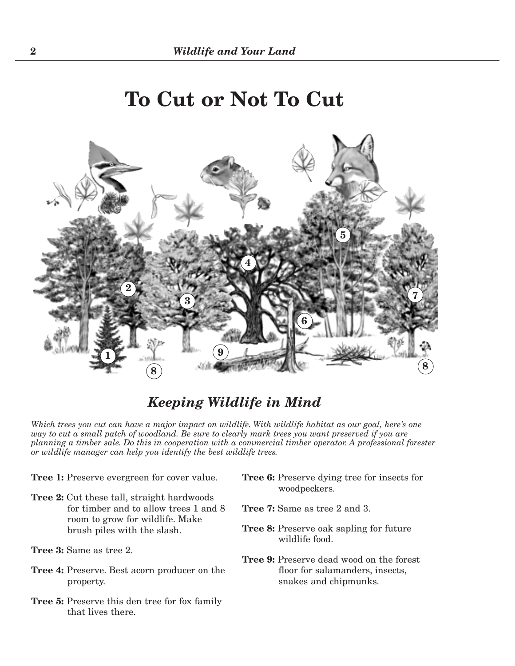# **To Cut or Not To Cut**



### *Keeping Wildlife in Mind*

*Which trees you cut can have a major impact on wildlife. With wildlife habitat as our goal, here's one way to cut a small patch of woodland. Be sure to clearly mark trees you want preserved if you are planning a timber sale. Do this in cooperation with a commercial timber operator. A professional forester or wildlife manager can help you identify the best wildlife trees.*

**Tree 1:** Preserve evergreen for cover value.

- **Tree 2:** Cut these tall, straight hardwoods for timber and to allow trees 1 and 8 room to grow for wildlife. Make brush piles with the slash.
- **Tree 3:** Same as tree 2.
- **Tree 4:** Preserve. Best acorn producer on the property.
- **Tree 5:** Preserve this den tree for fox family that lives there.

**Tree 6:** Preserve dying tree for insects for woodpeckers.

- **Tree 7:** Same as tree 2 and 3.
- **Tree 8:** Preserve oak sapling for future wildlife food.
- **Tree 9:** Preserve dead wood on the forest floor for salamanders, insects, snakes and chipmunks.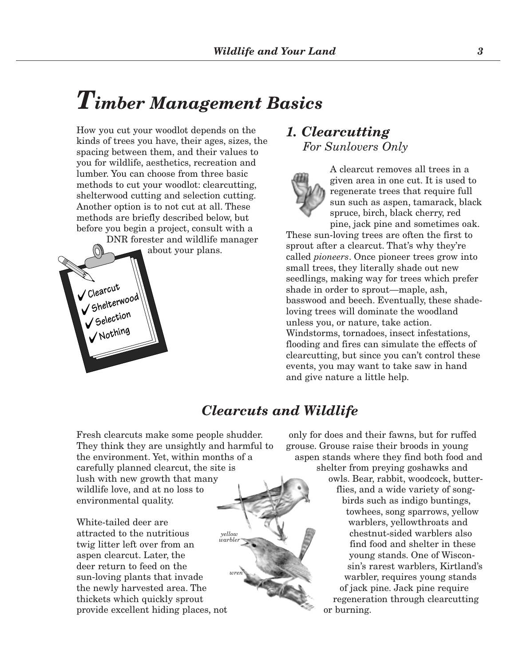# *Timber Management Basics*

How you cut your woodlot depends on the kinds of trees you have, their ages, sizes, the spacing between them, and their values to you for wildlife, aesthetics, recreation and lumber. You can choose from three basic methods to cut your woodlot: clearcutting, shelterwood cutting and selection cutting. Another option is to not cut at all. These methods are briefly described below, but before you begin a project, consult with a DNR forester and wildlife manager about your plans. <sup>Y</sup>**Clearcut** Y**Shelterwood** <sup>Y</sup>**Selection** Y**Nothing**

### *1. Clearcutting For Sunlovers Only*

A clearcut removes all trees in a given area in one cut. It is used to regenerate trees that require full sun such as aspen, tamarack, black spruce, birch, black cherry, red

pine, jack pine and sometimes oak. These sun-loving trees are often the first to sprout after a clearcut. That's why they're called *pioneers*. Once pioneer trees grow into small trees, they literally shade out new seedlings, making way for trees which prefer shade in order to sprout—maple, ash, basswood and beech. Eventually, these shadeloving trees will dominate the woodland unless you, or nature, take action. Windstorms, tornadoes, insect infestations, flooding and fires can simulate the effects of clearcutting, but since you can't control these events, you may want to take saw in hand and give nature a little help.

# *Clearcuts and Wildlife*

Fresh clearcuts make some people shudder. They think they are unsightly and harmful to the environment. Yet, within months of a carefully planned clearcut, the site is lush with new growth that many wildlife love, and at no loss to environmental quality.

White-tailed deer are attracted to the nutritious twig litter left over from an aspen clearcut. Later, the deer return to feed on the sun-loving plants that invade the newly harvested area. The thickets which quickly sprout provide excellent hiding places, not

only for does and their fawns, but for ruffed grouse. Grouse raise their broods in young aspen stands where they find both food and shelter from preying goshawks and

owls. Bear, rabbit, woodcock, butterflies, and a wide variety of songbirds such as indigo buntings, towhees, song sparrows, yellow warblers, yellowthroats and chestnut-sided warblers also find food and shelter in these young stands. One of Wisconsin's rarest warblers, Kirtland's warbler, requires young stands of jack pine. Jack pine require regeneration through clearcutting or burning.

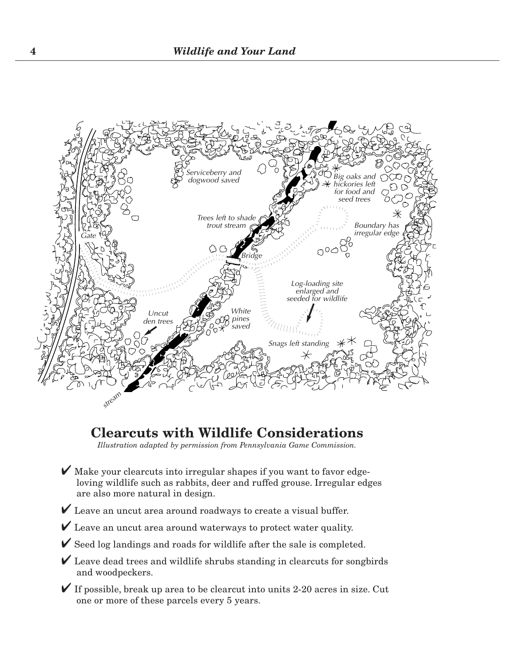

### **Clearcuts with Wildlife Considerations**

*Illustration adapted by permission from Pennsylvania Game Commission.*

- $\vee$  Make your clearcuts into irregular shapes if you want to favor edgeloving wildlife such as rabbits, deer and ruffed grouse. Irregular edges are also more natural in design.
- Y Leave an uncut area around roadways to create a visual buffer.
- Leave an uncut area around waterways to protect water quality.
- Seed log landings and roads for wildlife after the sale is completed.
- $\vee$  Leave dead trees and wildlife shrubs standing in clearcuts for songbirds and woodpeckers.
- $\blacktriangledown$  If possible, break up area to be clearcut into units 2-20 acres in size. Cut one or more of these parcels every 5 years.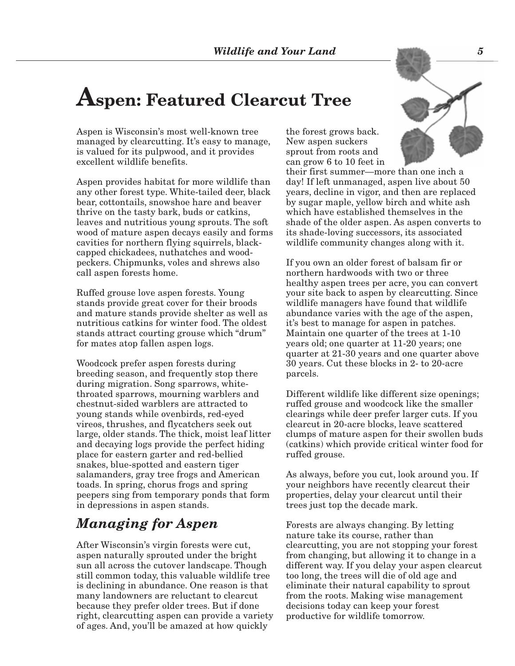# **Aspen: Featured Clearcut Tree**

Aspen is Wisconsin's most well-known tree managed by clearcutting. It's easy to manage, is valued for its pulpwood, and it provides excellent wildlife benefits.

Aspen provides habitat for more wildlife than any other forest type. White-tailed deer, black bear, cottontails, snowshoe hare and beaver thrive on the tasty bark, buds or catkins, leaves and nutritious young sprouts. The soft wood of mature aspen decays easily and forms cavities for northern flying squirrels, blackcapped chickadees, nuthatches and woodpeckers. Chipmunks, voles and shrews also call aspen forests home.

Ruffed grouse love aspen forests. Young stands provide great cover for their broods and mature stands provide shelter as well as nutritious catkins for winter food. The oldest stands attract courting grouse which "drum" for mates atop fallen aspen logs.

Woodcock prefer aspen forests during breeding season, and frequently stop there during migration. Song sparrows, whitethroated sparrows, mourning warblers and chestnut-sided warblers are attracted to young stands while ovenbirds, red-eyed vireos, thrushes, and flycatchers seek out large, older stands. The thick, moist leaf litter and decaying logs provide the perfect hiding place for eastern garter and red-bellied snakes, blue-spotted and eastern tiger salamanders, gray tree frogs and American toads. In spring, chorus frogs and spring peepers sing from temporary ponds that form in depressions in aspen stands.

# *Managing for Aspen*

After Wisconsin's virgin forests were cut, aspen naturally sprouted under the bright sun all across the cutover landscape. Though still common today, this valuable wildlife tree is declining in abundance. One reason is that many landowners are reluctant to clearcut because they prefer older trees. But if done right, clearcutting aspen can provide a variety of ages. And, you'll be amazed at how quickly

the forest grows back. New aspen suckers sprout from roots and can grow 6 to 10 feet in

their first summer—more than one inch a day! If left unmanaged, aspen live about 50 years, decline in vigor, and then are replaced by sugar maple, yellow birch and white ash which have established themselves in the shade of the older aspen. As aspen converts to its shade-loving successors, its associated wildlife community changes along with it.

If you own an older forest of balsam fir or northern hardwoods with two or three healthy aspen trees per acre, you can convert your site back to aspen by clearcutting. Since wildlife managers have found that wildlife abundance varies with the age of the aspen, it's best to manage for aspen in patches. Maintain one quarter of the trees at 1-10 years old; one quarter at 11-20 years; one quarter at 21-30 years and one quarter above 30 years. Cut these blocks in 2- to 20-acre parcels.

Different wildlife like different size openings; ruffed grouse and woodcock like the smaller clearings while deer prefer larger cuts. If you clearcut in 20-acre blocks, leave scattered clumps of mature aspen for their swollen buds (catkins) which provide critical winter food for ruffed grouse.

As always, before you cut, look around you. If your neighbors have recently clearcut their properties, delay your clearcut until their trees just top the decade mark.

Forests are always changing. By letting nature take its course, rather than clearcutting, you are not stopping your forest from changing, but allowing it to change in a different way. If you delay your aspen clearcut too long, the trees will die of old age and eliminate their natural capability to sprout from the roots. Making wise management decisions today can keep your forest productive for wildlife tomorrow.

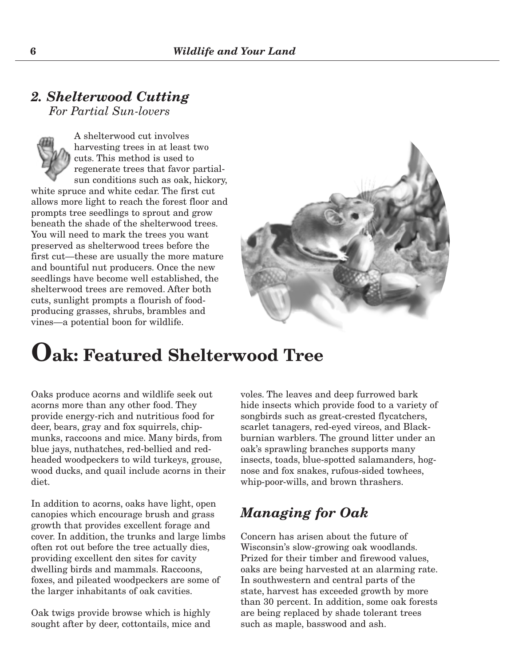#### *2. Shelterwood Cutting For Partial Sun-lovers*

A shelterwood cut involves harvesting trees in at least two cuts. This method is used to regenerate trees that favor partialsun conditions such as oak, hickory, white spruce and white cedar. The first cut allows more light to reach the forest floor and prompts tree seedlings to sprout and grow beneath the shade of the shelterwood trees. You will need to mark the trees you want preserved as shelterwood trees before the first cut—these are usually the more mature and bountiful nut producers. Once the new seedlings have become well established, the shelterwood trees are removed. After both cuts, sunlight prompts a flourish of foodproducing grasses, shrubs, brambles and vines—a potential boon for wildlife.



# **Oak: Featured Shelterwood Tree**

Oaks produce acorns and wildlife seek out acorns more than any other food. They provide energy-rich and nutritious food for deer, bears, gray and fox squirrels, chipmunks, raccoons and mice. Many birds, from blue jays, nuthatches, red-bellied and redheaded woodpeckers to wild turkeys, grouse, wood ducks, and quail include acorns in their diet.

In addition to acorns, oaks have light, open canopies which encourage brush and grass growth that provides excellent forage and cover. In addition, the trunks and large limbs often rot out before the tree actually dies, providing excellent den sites for cavity dwelling birds and mammals. Raccoons, foxes, and pileated woodpeckers are some of the larger inhabitants of oak cavities.

Oak twigs provide browse which is highly sought after by deer, cottontails, mice and voles. The leaves and deep furrowed bark hide insects which provide food to a variety of songbirds such as great-crested flycatchers, scarlet tanagers, red-eyed vireos, and Blackburnian warblers. The ground litter under an oak's sprawling branches supports many insects, toads, blue-spotted salamanders, hognose and fox snakes, rufous-sided towhees, whip-poor-wills, and brown thrashers.

# *Managing for Oak*

Concern has arisen about the future of Wisconsin's slow-growing oak woodlands. Prized for their timber and firewood values, oaks are being harvested at an alarming rate. In southwestern and central parts of the state, harvest has exceeded growth by more than 30 percent. In addition, some oak forests are being replaced by shade tolerant trees such as maple, basswood and ash.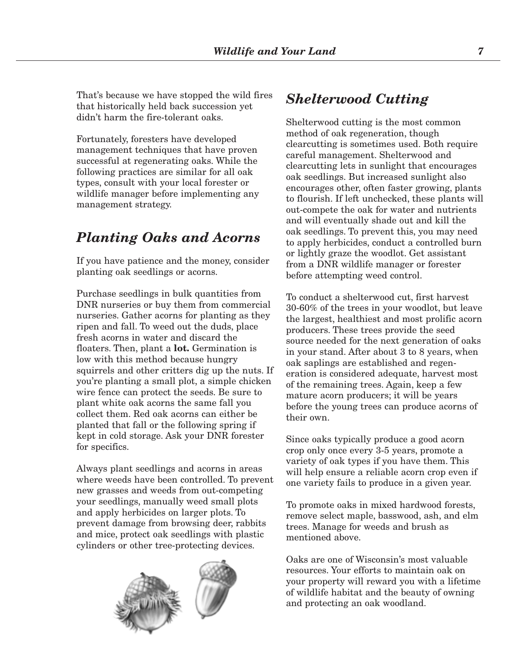That's because we have stopped the wild fires that historically held back succession yet didn't harm the fire-tolerant oaks.

Fortunately, foresters have developed management techniques that have proven successful at regenerating oaks. While the following practices are similar for all oak types, consult with your local forester or wildlife manager before implementing any management strategy.

### *Planting Oaks and Acorns*

If you have patience and the money, consider planting oak seedlings or acorns.

Purchase seedlings in bulk quantities from DNR nurseries or buy them from commercial nurseries. Gather acorns for planting as they ripen and fall. To weed out the duds, place fresh acorns in water and discard the floaters. Then, plant a **lot.** Germination is low with this method because hungry squirrels and other critters dig up the nuts. If you're planting a small plot, a simple chicken wire fence can protect the seeds. Be sure to plant white oak acorns the same fall you collect them. Red oak acorns can either be planted that fall or the following spring if kept in cold storage. Ask your DNR forester for specifics.

Always plant seedlings and acorns in areas where weeds have been controlled. To prevent new grasses and weeds from out-competing your seedlings, manually weed small plots and apply herbicides on larger plots. To prevent damage from browsing deer, rabbits and mice, protect oak seedlings with plastic cylinders or other tree-protecting devices.



### *Shelterwood Cutting*

Shelterwood cutting is the most common method of oak regeneration, though clearcutting is sometimes used. Both require careful management. Shelterwood and clearcutting lets in sunlight that encourages oak seedlings. But increased sunlight also encourages other, often faster growing, plants to flourish. If left unchecked, these plants will out-compete the oak for water and nutrients and will eventually shade out and kill the oak seedlings. To prevent this, you may need to apply herbicides, conduct a controlled burn or lightly graze the woodlot. Get assistant from a DNR wildlife manager or forester before attempting weed control.

To conduct a shelterwood cut, first harvest 30-60% of the trees in your woodlot, but leave the largest, healthiest and most prolific acorn producers. These trees provide the seed source needed for the next generation of oaks in your stand. After about 3 to 8 years, when oak saplings are established and regeneration is considered adequate, harvest most of the remaining trees. Again, keep a few mature acorn producers; it will be years before the young trees can produce acorns of their own.

Since oaks typically produce a good acorn crop only once every 3-5 years, promote a variety of oak types if you have them. This will help ensure a reliable acorn crop even if one variety fails to produce in a given year.

To promote oaks in mixed hardwood forests, remove select maple, basswood, ash, and elm trees. Manage for weeds and brush as mentioned above.

Oaks are one of Wisconsin's most valuable resources. Your efforts to maintain oak on your property will reward you with a lifetime of wildlife habitat and the beauty of owning and protecting an oak woodland.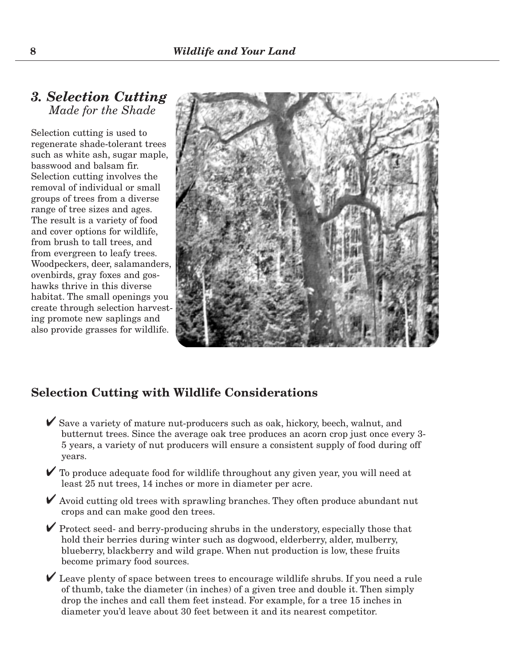#### *3. Selection Cutting Made for the Shade*

Selection cutting is used to regenerate shade-tolerant trees such as white ash, sugar maple, basswood and balsam fir. Selection cutting involves the removal of individual or small groups of trees from a diverse range of tree sizes and ages. The result is a variety of food and cover options for wildlife, from brush to tall trees, and from evergreen to leafy trees. Woodpeckers, deer, salamanders, ovenbirds, gray foxes and goshawks thrive in this diverse habitat. The small openings you create through selection harvesting promote new saplings and also provide grasses for wildlife.



#### **Selection Cutting with Wildlife Considerations**

- $\checkmark$  Save a variety of mature nut-producers such as oak, hickory, beech, walnut, and butternut trees. Since the average oak tree produces an acorn crop just once every 3- 5 years, a variety of nut producers will ensure a consistent supply of food during off years.
- $\checkmark$  To produce adequate food for wildlife throughout any given year, you will need at least 25 nut trees, 14 inches or more in diameter per acre.
- $\checkmark$  Avoid cutting old trees with sprawling branches. They often produce abundant nut crops and can make good den trees.
- $\triangledown$  Protect seed- and berry-producing shrubs in the understory, especially those that hold their berries during winter such as dogwood, elderberry, alder, mulberry, blueberry, blackberry and wild grape. When nut production is low, these fruits become primary food sources.
- $\checkmark$  Leave plenty of space between trees to encourage wildlife shrubs. If you need a rule of thumb, take the diameter (in inches) of a given tree and double it. Then simply drop the inches and call them feet instead. For example, for a tree 15 inches in diameter you'd leave about 30 feet between it and its nearest competitor.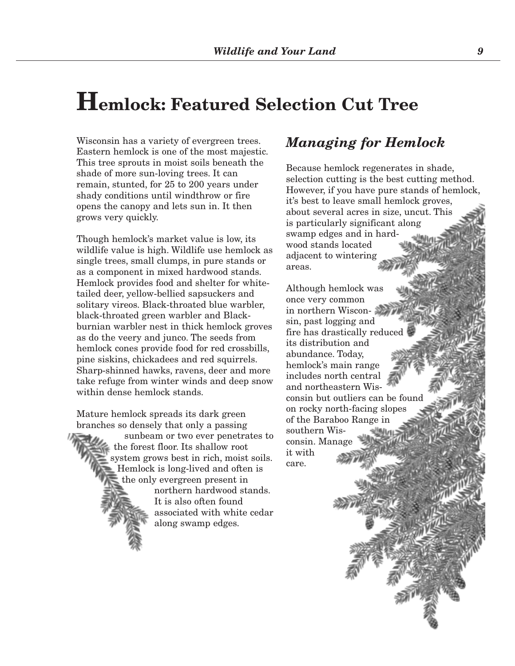# **Hemlock: Featured Selection Cut Tree**

Wisconsin has a variety of evergreen trees. Eastern hemlock is one of the most majestic. This tree sprouts in moist soils beneath the shade of more sun-loving trees. It can remain, stunted, for 25 to 200 years under shady conditions until windthrow or fire opens the canopy and lets sun in. It then grows very quickly.

Though hemlock's market value is low, its wildlife value is high. Wildlife use hemlock as single trees, small clumps, in pure stands or as a component in mixed hardwood stands. Hemlock provides food and shelter for whitetailed deer, yellow-bellied sapsuckers and solitary vireos. Black-throated blue warbler, black-throated green warbler and Blackburnian warbler nest in thick hemlock groves as do the veery and junco. The seeds from hemlock cones provide food for red crossbills, pine siskins, chickadees and red squirrels. Sharp-shinned hawks, ravens, deer and more take refuge from winter winds and deep snow within dense hemlock stands.

Mature hemlock spreads its dark green branches so densely that only a passing



### *Managing for Hemlock*

Because hemlock regenerates in shade, selection cutting is the best cutting method. However, if you have pure stands of hemlock, it's best to leave small hemlock groves, about several acres in size, uncut. This is particularly significant along swamp edges and in hardwood stands located adjacent to wintering areas.

Although hemlock was once very common in northern Wisconsin, past logging and fire has drastically reduced its distribution and abundance. Today, hemlock's main range includes north central and northeastern Wisconsin but outliers can be found on rocky north-facing slopes of the Baraboo Range in southern Wisconsin. Manage it with care.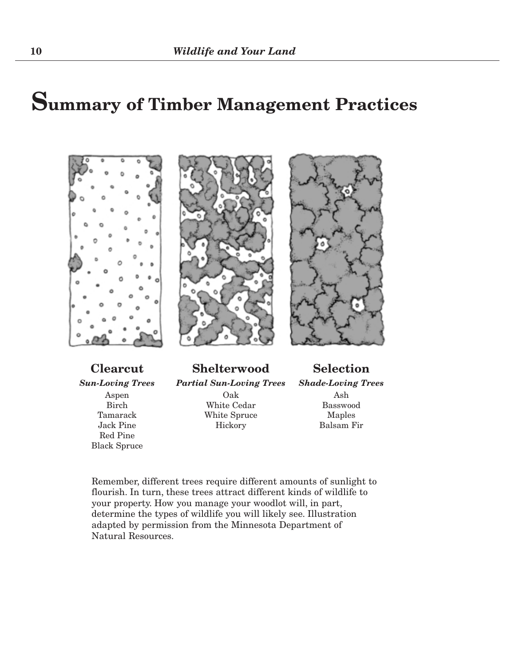# **Summary of Timber Management Practices**







Red Pine Black Spruce

**Clearcut Shelterwood Selection**

*Sun-Loving Trees Partial Sun-Loving Trees Shade-Loving Trees* 

Aspen Oak Ash Birch White Cedar Basswood Tamarack White Spruce Maples Jack Pine Hickory Balsam Fir

Remember, different trees require different amounts of sunlight to flourish. In turn, these trees attract different kinds of wildlife to your property. How you manage your woodlot will, in part, determine the types of wildlife you will likely see. Illustration adapted by permission from the Minnesota Department of Natural Resources.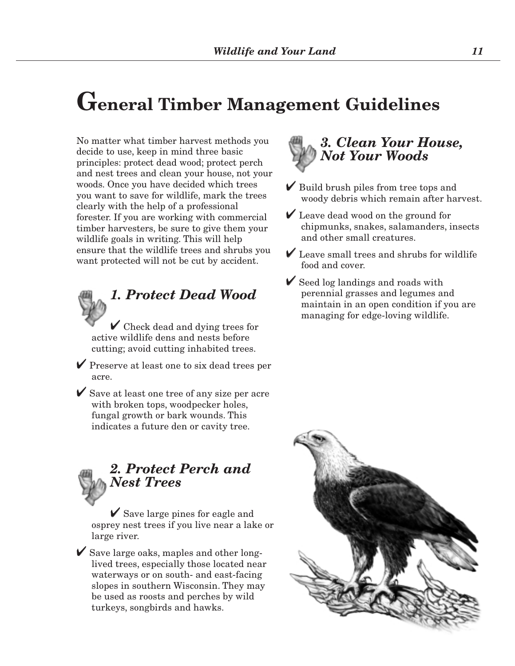# **General Timber Management Guidelines**

No matter what timber harvest methods you decide to use, keep in mind three basic principles: protect dead wood; protect perch and nest trees and clean your house, not your woods. Once you have decided which trees you want to save for wildlife, mark the trees clearly with the help of a professional forester. If you are working with commercial timber harvesters, be sure to give them your wildlife goals in writing. This will help ensure that the wildlife trees and shrubs you want protected will not be cut by accident.

# *1. Protect Dead Wood*

 $\vee$  Check dead and dying trees for active wildlife dens and nests before cutting; avoid cutting inhabited trees.

Y Preserve at least one to six dead trees per acre.

 $\vee$  Save at least one tree of any size per acre with broken tops, woodpecker holes, fungal growth or bark wounds. This indicates a future den or cavity tree.

# *2. Protect Perch and Nest Trees*

 $\vee$  Save large pines for eagle and osprey nest trees if you live near a lake or large river.

Y Save large oaks, maples and other longlived trees, especially those located near waterways or on south- and east-facing slopes in southern Wisconsin. They may be used as roosts and perches by wild turkeys, songbirds and hawks.

# *3. Clean Your House, Not Your Woods*

- Y Build brush piles from tree tops and woody debris which remain after harvest.
- Y Leave dead wood on the ground for chipmunks, snakes, salamanders, insects and other small creatures.
- $\vee$  Leave small trees and shrubs for wildlife food and cover.
- Y Seed log landings and roads with perennial grasses and legumes and maintain in an open condition if you are managing for edge-loving wildlife.